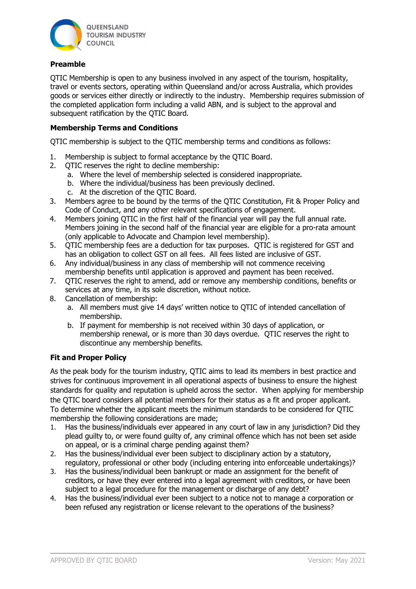

## Preamble

QTIC Membership is open to any business involved in any aspect of the tourism, hospitality, travel or events sectors, operating within Queensland and/or across Australia, which provides goods or services either directly or indirectly to the industry. Membership requires submission of the completed application form including a valid ABN, and is subject to the approval and subsequent ratification by the OTIC Board.

## Membership Terms and Conditions

QTIC membership is subject to the QTIC membership terms and conditions as follows:

- 1. Membership is subject to formal acceptance by the QTIC Board.
- 2. QTIC reserves the right to decline membership:
	- a. Where the level of membership selected is considered inappropriate.
	- b. Where the individual/business has been previously declined.
	- c. At the discretion of the QTIC Board.
- 3. Members agree to be bound by the terms of the QTIC Constitution, Fit & Proper Policy and Code of Conduct, and any other relevant specifications of engagement.
- 4. Members joining QTIC in the first half of the financial year will pay the full annual rate. Members joining in the second half of the financial year are eligible for a pro-rata amount (only applicable to Advocate and Champion level membership).
- 5. QTIC membership fees are a deduction for tax purposes. QTIC is registered for GST and has an obligation to collect GST on all fees. All fees listed are inclusive of GST.
- 6. Any individual/business in any class of membership will not commence receiving membership benefits until application is approved and payment has been received.
- 7. QTIC reserves the right to amend, add or remove any membership conditions, benefits or services at any time, in its sole discretion, without notice.
- 8. Cancellation of membership:
	- a. All members must give 14 days' written notice to QTIC of intended cancellation of membership.
	- b. If payment for membership is not received within 30 days of application, or membership renewal, or is more than 30 days overdue. QTIC reserves the right to discontinue any membership benefits.

## Fit and Proper Policy

As the peak body for the tourism industry, QTIC aims to lead its members in best practice and strives for continuous improvement in all operational aspects of business to ensure the highest standards for quality and reputation is upheld across the sector. When applying for membership the QTIC board considers all potential members for their status as a fit and proper applicant. To determine whether the applicant meets the minimum standards to be considered for QTIC membership the following considerations are made;

- 1. Has the business/individuals ever appeared in any court of law in any jurisdiction? Did they plead guilty to, or were found guilty of, any criminal offence which has not been set aside on appeal, or is a criminal charge pending against them?
- 2. Has the business/individual ever been subject to disciplinary action by a statutory, regulatory, professional or other body (including entering into enforceable undertakings)?
- 3. Has the business/individual been bankrupt or made an assignment for the benefit of creditors, or have they ever entered into a legal agreement with creditors, or have been subject to a legal procedure for the management or discharge of any debt?
- 4. Has the business/individual ever been subject to a notice not to manage a corporation or been refused any registration or license relevant to the operations of the business?